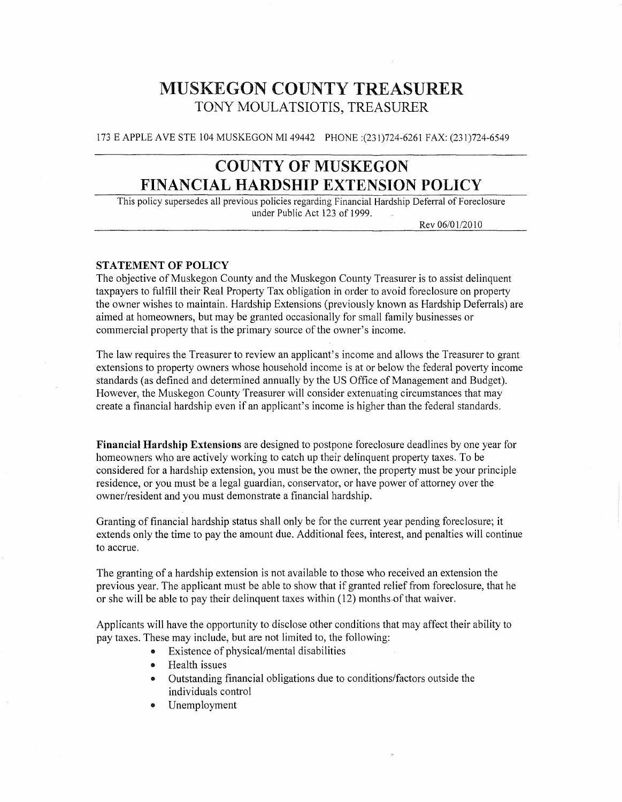# MUSKEGON COUNTY TREASURER TONY MOULATSIOTIS, TREASURER

173 E APPLE AVE STE 104 MUSKEGON MI 49442 PHONE :(231)724-6261 FAX: (231 )724-6549

# COUNTY OF MUSKEGON FINANCIAL **HARDSHIP** EXTENSION POLICY

This policy supersedes all previous policies regarding Financial Hardship Deferral of Foreclosure under Public Act 123 of 1999.

Rev 06/01/2010

#### STATEMENT OF POLICY

The objective of Muskegon County and the Muskegon County Treasurer is to assist delinquent taxpayers to fulfill their Real Property Tax obligation in order to avoid foreclosure on property the owner wishes to maintain. Hardship Extensions (previously known as Hardship Deferrals) are aimed at homeowners, but may be granted occasionally for small family businesses or commercial property that is the primary source of the owner's income.

The law requires the Treasurer to review an applicant's income and allows the Treasurer to grant extensions to property owners whose household income is at or below the federal poverty income standards (as defined and determined annually by the US Office of Management and Budget). However, the Muskegon County Treasurer will consider extenuating circumstances that may create a financial hardship even if an applicant's income is higher than the federal standards.

Financial Hardship Extensions are designed to postpone foreclosure deadlines by one year for homeowners who are actively working to catch up their delinquent property taxes. To be considered for a hardship extension, you must be the owner, the property must be your principle residence, or you must be a legal guardian, conservator, or have power of attorney over the owner/resident and you must demonstrate a financial hardship.

Granting of financial hardship status shall only be for the current year pending foreclosure; it extends only the time to pay the amount due. Additional fees, interest, and penalties will continue to accrue.

The granting of a hardship extension is not available to those who received an extension the previous year. The applicant must be able to show that if granted relieffrom foreclosure, that he or she will be able to pay their delinquent taxes within (12) months of that waiver.

Applicants will have the opportunity to disclose other conditions that may affect their ability to pay taxes. These may include, but are not limited to, the following:

- Existence of physical/mental disabilities
- $\bullet$  Health issues
- Outstanding financial obligations due to conditions/factors outside the individuals control
- Unemployment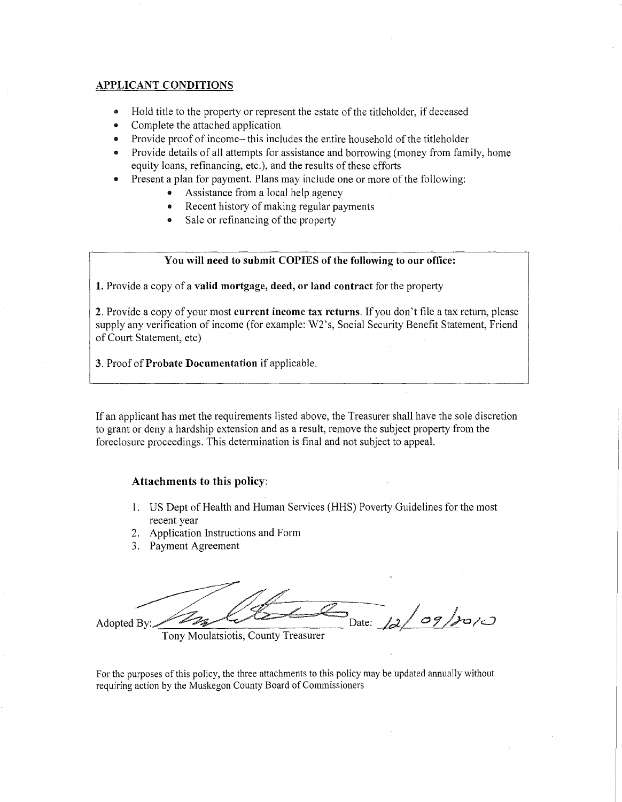#### APPLICANT CONDITIONS

- Hold title to the property or represent the estate of the titleholder, if deceased
- Complete the attached application
- Provide proof of income-this includes the entire household of the titleholder
- Provide details of all attempts for assistance and borrowing (money from family, home equity loans, refinancing, etc.), and the results of these efforts
- Present a plan for payment. Plans may include one or more of the following:
	- Assistance from a local help agency
	- Recent history of making regular payments
	- Sale or refinancing of the property

#### You will need to submit COPIES of the following to our office:

1. Provide a copy of a valid mortgage, deed, or land contract for the property

2. Provide a copy of your most current income tax returns. If you don't file a tax return, please supply any verification of income (for example: W2's, Social Security Benefit Statement, Friend of Court Statement, etc)

3. Proof of Probate Documentation if applicable.

If an applicant has met the requirements listed above, the Treasurer shall have the sole discretion to grant or deny a hardship extension and as a result, remove the subject property from the foreclosure proceedings. This determination is final and not subject to appeal.

#### Attachments to this policy:

- 1. US Dept of Health and Human Services (HHS) Poverty Guidelines for the most recent year
- 2. Application Instructions and Form
- 3. Payment Agreement

Adopted By:  $\mathbb{Z}_{3}$  by  $\mathbb{Z}_{4}$  $\sigma$ 9/2010

Tony Moulatsiotis, County Treasurer

For the purposes ofthis policy, the three attachments to this policy may be updated annually without requiring action by the Muskegon County Board of Commissioners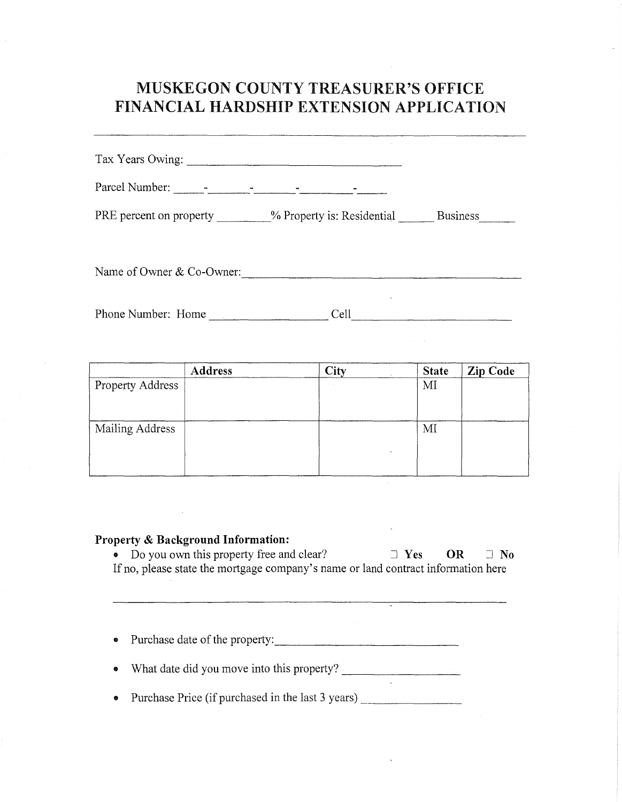# MUSKEGON COUNTY TREASURER'S OFFICE FINANCIAL HARDSHIP EXTENSION APPLICATION

| Tax Years Owing:                                      |      |          |
|-------------------------------------------------------|------|----------|
|                                                       |      |          |
| PRE percent on property $\%$ Property is: Residential |      | Business |
|                                                       |      |          |
| Name of Owner & Co-Owner:                             |      |          |
| Phone Number: Home                                    | Cell |          |

|                  | <b>Address</b> | City<br>$\sim$ | <b>State</b> | Zip Code |
|------------------|----------------|----------------|--------------|----------|
| Property Address |                |                | MI           |          |
| Mailing Address  |                | ٠.             | MI           |          |

#### Property & Background Information:

 $\bar{\mathcal{A}}$ 

• Do you own this property free and clear?  $\Box$  Yes OR  $\Box$  No If no, please state the mortgage company's name or land contract information here

• Purchase date of the property: \_

• What date did you move into this property? \_

• Purchase Price (if purchased in the last 3 years) \_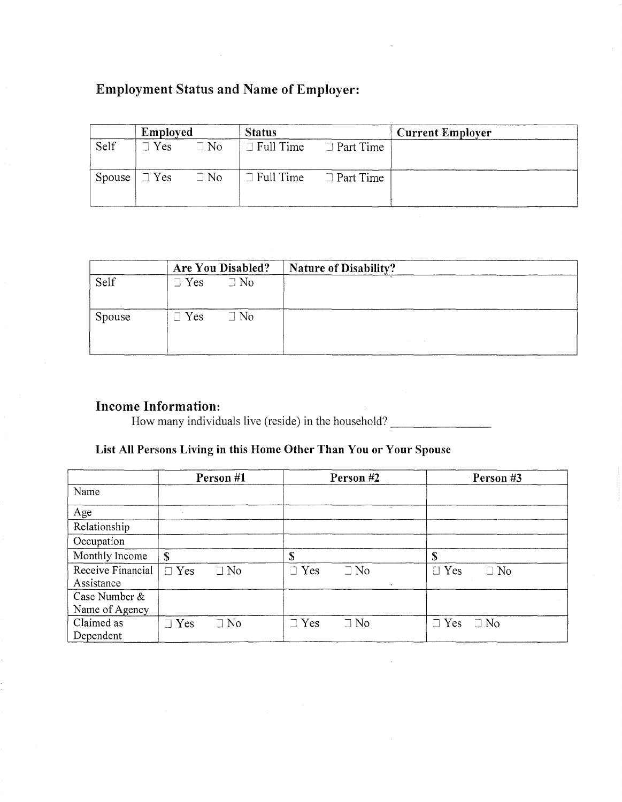# Employment Status and Name of Employer:

|        | Employed                   |           | <b>Status</b>    |                  | <b>Current Employer</b> |
|--------|----------------------------|-----------|------------------|------------------|-------------------------|
| Self   | $\exists$ Yes              | $\Box$ No | $\Box$ Full Time | $\Box$ Part Time |                         |
| Spouse | $\exists$ Yes $\exists$ No |           | $\Box$ Full Time | $\Box$ Part Time |                         |

|        |               | <b>Are You Disabled?</b> | <b>Nature of Disability?</b> |  |
|--------|---------------|--------------------------|------------------------------|--|
| Self   | $\supset$ Yes | $\Box$ No                |                              |  |
| Spouse | $\Box$ Yes    | $\Box$ No                |                              |  |

## Income Information:

How many individuals live (reside) in the household?

## List **All** Persons Living in this Home Other Than You or Your Spouse

|                                 | Person #1               | Person #2                                  | Person #3               |
|---------------------------------|-------------------------|--------------------------------------------|-------------------------|
| Name                            |                         |                                            |                         |
| Age                             |                         | $\mathbf{A}$                               |                         |
| Relationship                    |                         |                                            |                         |
| Occupation                      |                         |                                            |                         |
| Monthly Income                  | S                       | \$                                         | \$                      |
| Receive Financial<br>Assistance | $\Box$ Yes<br>$\Box$ No | $\Box$ Yes<br>$\Box$ No<br>$\sim$ 4 $\sim$ | $\Box$ Yes<br>$\Box$ No |
| Case Number &                   |                         |                                            |                         |
| Name of Agency                  |                         |                                            |                         |
| Claimed as<br>Dependent         | $\Box$ No<br>$\Box$ Yes | $\exists$ Yes<br>$\Box$ No                 | $\Box$ Yes<br>$\Box$ No |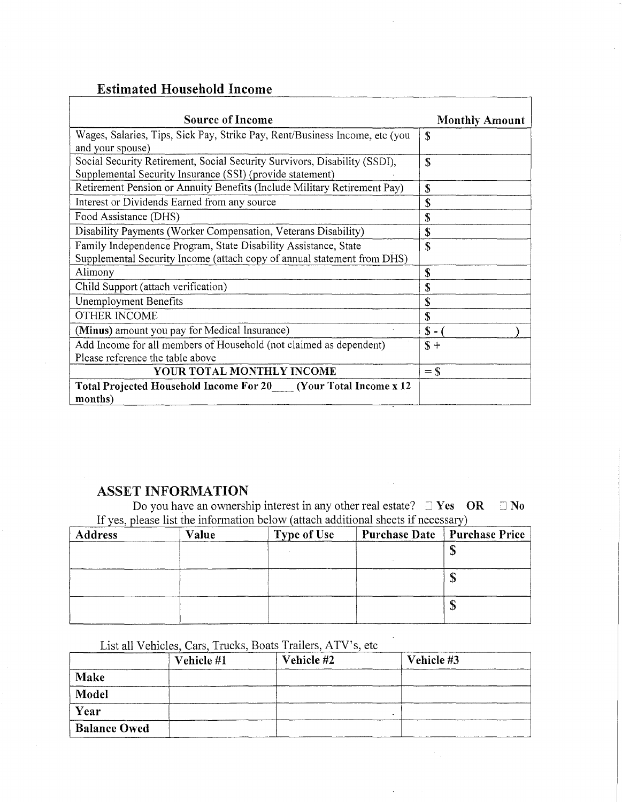## Estimated Household Income

| <b>Source of Income</b>                                                     | <b>Monthly Amount</b> |
|-----------------------------------------------------------------------------|-----------------------|
| Wages, Salaries, Tips, Sick Pay, Strike Pay, Rent/Business Income, etc (you | S                     |
| and your spouse)                                                            |                       |
| Social Security Retirement, Social Security Survivors, Disability (SSDI),   | S                     |
| Supplemental Security Insurance (SSI) (provide statement)                   |                       |
| Retirement Pension or Annuity Benefits (Include Military Retirement Pay)    | S                     |
| Interest or Dividends Earned from any source                                | \$                    |
| Food Assistance (DHS)                                                       | S                     |
| Disability Payments (Worker Compensation, Veterans Disability)              | S                     |
| Family Independence Program, State Disability Assistance, State             | S                     |
| Supplemental Security Income (attach copy of annual statement from DHS)     |                       |
| Alimony                                                                     | S                     |
| Child Support (attach verification)                                         | S                     |
| Unemployment Benefits                                                       | S                     |
| <b>OTHER INCOME</b>                                                         | S                     |
| (Minus) amount you pay for Medical Insurance)                               | $S -$                 |
| Add Income for all members of Household (not claimed as dependent)          | $\mathbf{S} +$        |
| Please reference the table above                                            |                       |
| YOUR TOTAL MONTHLY INCOME                                                   | $=$ \$                |
| Total Projected Household Income For 20 [Mour Total Income x 12             |                       |
| months)                                                                     |                       |

## ASSET INFORMATION

Do you have an ownership interest in any other real estate?  $\Box$  Yes OR  $\Box$  No If yes, please list the information below (attach additional sheets if necessary)

 $\sim$   $\sim$ 

| $\sim$ 1<br><b>Address</b> | Value | <b>Type of Use</b> | Purchase Date Purchase Price |
|----------------------------|-------|--------------------|------------------------------|
|                            |       |                    |                              |
|                            |       |                    | ۰D                           |
|                            |       |                    | Φ                            |

## List all Vehicles, Cars, Trucks, Boats Trailers, ATV's, etc

| List all Vehicles, Cars, Trucks, Boats Trailers, ATV's, etc |            |            |            |  |  |
|-------------------------------------------------------------|------------|------------|------------|--|--|
|                                                             | Vehicle #1 | Vehicle #2 | Vehicle #3 |  |  |
| <b>Make</b>                                                 |            |            |            |  |  |
| Model                                                       |            |            |            |  |  |
| Year                                                        |            |            | $\sim$     |  |  |
| <b>Balance Owed</b>                                         |            |            |            |  |  |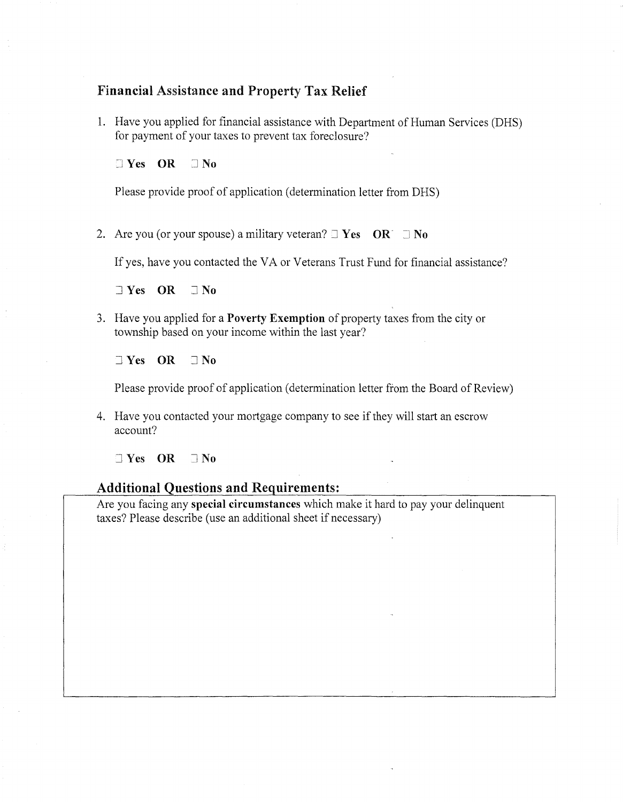### Financial Assistance and Property Tax Relief

1. Have you applied for financial assistance with Department of Human Services (DRS) for payment of your taxes to prevent tax foreclosure?

 $\Box$  Yes OR  $\Box$  No

Please provide proof of application (determination letter from DHS)

2. Are you (or your spouse) a military veteran?  $\exists$  Yes OR  $\exists$  No

If yes, have you contacted the VA or Veterans Trust Fund for financial assistance?

 $\exists$  Yes OR  $\exists$  No

3. Have you applied for a **Poverty Exemption** of property taxes from the city or township based on your income within the last year?

 $\exists$  Yes OR  $\exists$  No

Please provide proof of application (determination letter from the Board of Review)

4. Have you contacted your mortgage company to see if they will start an escrow account?

 $\neg$  Yes OR  $\neg$  No

## Additional Questions and Requirements:

Are you facing any special circumstances which make it hard to pay your delinquent taxes? Please describe (use an additional sheet if necessary)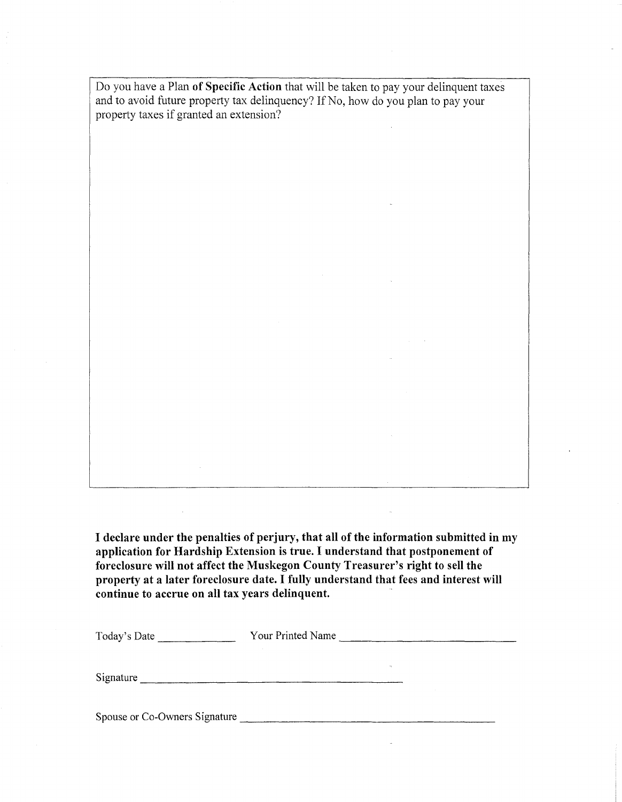Do you have a Plan **of Specific Action** that will be taken to pay your delinquent taxes and to avoid future property tax delinquency? If No, how do you plan to pay your property taxes if granted an extension?

**I declare under the penalties of perjury, that all of the information submitted in my application for Hardship Extension is true. I understand that postponement of foreclosure will not affect the Muskegon County Treasurer's right to sell the property at a later foreclosure date. I fully understand that fees and interest will continue to accrue on all tax years delinquent. .** 

-------------- Today's Date **Your Printed Name** Signature \_

Spouse or Co-Owners Signature \_